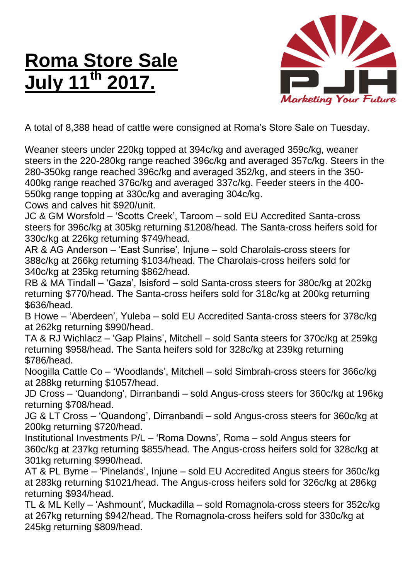## **Roma Store Sale July 11th 2017.**



A total of 8,388 head of cattle were consigned at Roma's Store Sale on Tuesday.

Weaner steers under 220kg topped at 394c/kg and averaged 359c/kg, weaner steers in the 220-280kg range reached 396c/kg and averaged 357c/kg. Steers in the 280-350kg range reached 396c/kg and averaged 352/kg, and steers in the 350- 400kg range reached 376c/kg and averaged 337c/kg. Feeder steers in the 400- 550kg range topping at 330c/kg and averaging 304c/kg.

Cows and calves hit \$920/unit.

JC & GM Worsfold – 'Scotts Creek', Taroom – sold EU Accredited Santa-cross steers for 396c/kg at 305kg returning \$1208/head. The Santa-cross heifers sold for 330c/kg at 226kg returning \$749/head.

AR & AG Anderson – 'East Sunrise', Injune – sold Charolais-cross steers for 388c/kg at 266kg returning \$1034/head. The Charolais-cross heifers sold for 340c/kg at 235kg returning \$862/head.

RB & MA Tindall – 'Gaza', Isisford – sold Santa-cross steers for 380c/kg at 202kg returning \$770/head. The Santa-cross heifers sold for 318c/kg at 200kg returning \$636/head.

B Howe – 'Aberdeen', Yuleba – sold EU Accredited Santa-cross steers for 378c/kg at 262kg returning \$990/head.

TA & RJ Wichlacz – 'Gap Plains', Mitchell – sold Santa steers for 370c/kg at 259kg returning \$958/head. The Santa heifers sold for 328c/kg at 239kg returning \$786/head.

Noogilla Cattle Co – 'Woodlands', Mitchell – sold Simbrah-cross steers for 366c/kg at 288kg returning \$1057/head.

JD Cross – 'Quandong', Dirranbandi – sold Angus-cross steers for 360c/kg at 196kg returning \$708/head.

JG & LT Cross – 'Quandong', Dirranbandi – sold Angus-cross steers for 360c/kg at 200kg returning \$720/head.

Institutional Investments P/L – 'Roma Downs', Roma – sold Angus steers for 360c/kg at 237kg returning \$855/head. The Angus-cross heifers sold for 328c/kg at 301kg returning \$990/head.

AT & PL Byrne – 'Pinelands', Injune – sold EU Accredited Angus steers for 360c/kg at 283kg returning \$1021/head. The Angus-cross heifers sold for 326c/kg at 286kg returning \$934/head.

TL & ML Kelly – 'Ashmount', Muckadilla – sold Romagnola-cross steers for 352c/kg at 267kg returning \$942/head. The Romagnola-cross heifers sold for 330c/kg at 245kg returning \$809/head.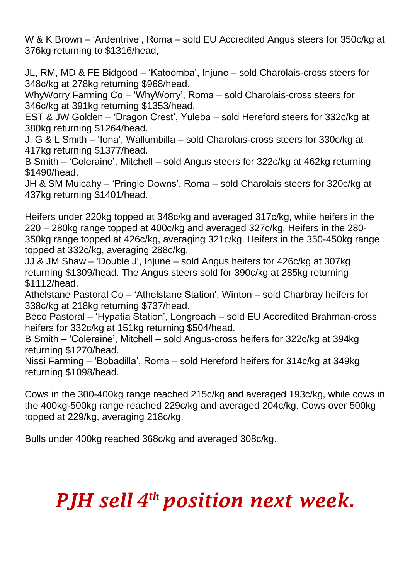W & K Brown – 'Ardentrive', Roma – sold EU Accredited Angus steers for 350c/kg at 376kg returning to \$1316/head,

JL, RM, MD & FE Bidgood – 'Katoomba', Injune – sold Charolais-cross steers for 348c/kg at 278kg returning \$968/head.

WhyWorry Farming Co – 'WhyWorry', Roma – sold Charolais-cross steers for 346c/kg at 391kg returning \$1353/head.

EST & JW Golden – 'Dragon Crest', Yuleba – sold Hereford steers for 332c/kg at 380kg returning \$1264/head.

J, G & L Smith – 'Iona', Wallumbilla – sold Charolais-cross steers for 330c/kg at 417kg returning \$1377/head.

B Smith – 'Coleraine', Mitchell – sold Angus steers for 322c/kg at 462kg returning \$1490/head.

JH & SM Mulcahy – 'Pringle Downs', Roma – sold Charolais steers for 320c/kg at 437kg returning \$1401/head.

Heifers under 220kg topped at 348c/kg and averaged 317c/kg, while heifers in the 220 – 280kg range topped at 400c/kg and averaged 327c/kg. Heifers in the 280- 350kg range topped at 426c/kg, averaging 321c/kg. Heifers in the 350-450kg range topped at 332c/kg, averaging 288c/kg.

JJ & JM Shaw – 'Double J', Injune – sold Angus heifers for 426c/kg at 307kg returning \$1309/head. The Angus steers sold for 390c/kg at 285kg returning \$1112/head.

Athelstane Pastoral Co – 'Athelstane Station', Winton – sold Charbray heifers for 338c/kg at 218kg returning \$737/head.

Beco Pastoral – 'Hypatia Station', Longreach – sold EU Accredited Brahman-cross heifers for 332c/kg at 151kg returning \$504/head.

B Smith – 'Coleraine', Mitchell – sold Angus-cross heifers for 322c/kg at 394kg returning \$1270/head.

Nissi Farming – 'Bobadilla', Roma – sold Hereford heifers for 314c/kg at 349kg returning \$1098/head.

Cows in the 300-400kg range reached 215c/kg and averaged 193c/kg, while cows in the 400kg-500kg range reached 229c/kg and averaged 204c/kg. Cows over 500kg topped at 229/kg, averaging 218c/kg.

Bulls under 400kg reached 368c/kg and averaged 308c/kg.

## *PJH sell 4 th position next week.*